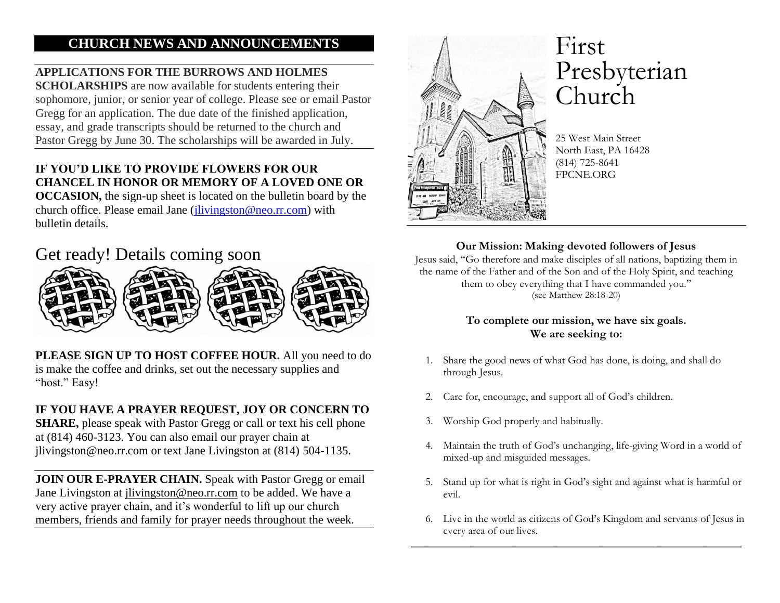## **CHURCH NEWS AND ANNOUNCEMENTS**

## **APPLICATIONS FOR THE BURROWS AND HOLMES**

**SCHOLARSHIPS** are now available for students entering their sophomore, junior, or senior year of college. Please see or email Pastor Gregg for an application. The due date of the finished application, essay, and grade transcripts should be returned to the church and Pastor Gregg by June 30. The scholarships will be awarded in July.

## **IF YOU'D LIKE TO PROVIDE FLOWERS FOR OUR CHANCEL IN HONOR OR MEMORY OF A LOVED ONE OR**

**OCCASION,** the sign-up sheet is located on the bulletin board by the church office. Please email Jane [\(jlivingston@neo.rr.com\)](mailto:jlivingston@neo.rr.com) with bulletin details.

## Get ready! Details coming soon



**PLEASE SIGN UP TO HOST COFFEE HOUR.** All you need to do is make the coffee and drinks, set out the necessary supplies and "host." Easy!

#### **IF YOU HAVE A PRAYER REQUEST, JOY OR CONCERN TO**

**SHARE,** please speak with Pastor Gregg or call or text his cell phone at (814) 460-3123. You can also email our prayer chain at jlivingston@neo.rr.com or text Jane Livingston at (814) 504-1135.

**JOIN OUR E-PRAYER CHAIN.** Speak with Pastor Gregg or email Jane Livingston at [jlivingston@neo.rr.com](mailto:jlivingston@neo.rr.com) to be added. We have a very active prayer chain, and it's wonderful to lift up our church members, friends and family for prayer needs throughout the week.



# First Presbyterian Church

25 West Main Street North East, PA 16428 (814) 725-8641 FPCNE.ORG

#### **Our Mission: Making devoted followers of Jesus**

Jesus said, "Go therefore and make disciples of all nations, baptizing them in the name of the Father and of the Son and of the Holy Spirit, and teaching them to obey everything that I have commanded you." (see Matthew 28:18-20)

#### **To complete our mission, we have six goals. We are seeking to:**

- 1. Share the good news of what God has done, is doing, and shall do through Jesus.
- 2. Care for, encourage, and support all of God's children.
- 3. Worship God properly and habitually.
- 4. Maintain the truth of God's unchanging, life-giving Word in a world of mixed-up and misguided messages.
- 5. Stand up for what is right in God's sight and against what is harmful or evil.
- 6. Live in the world as citizens of God's Kingdom and servants of Jesus in every area of our lives.

\_\_\_\_\_\_\_\_\_\_\_\_\_\_\_\_\_\_\_\_\_\_\_\_\_\_\_\_\_\_\_\_\_\_\_\_\_\_\_\_\_\_\_\_\_\_\_\_\_\_\_\_\_\_\_\_\_\_\_\_\_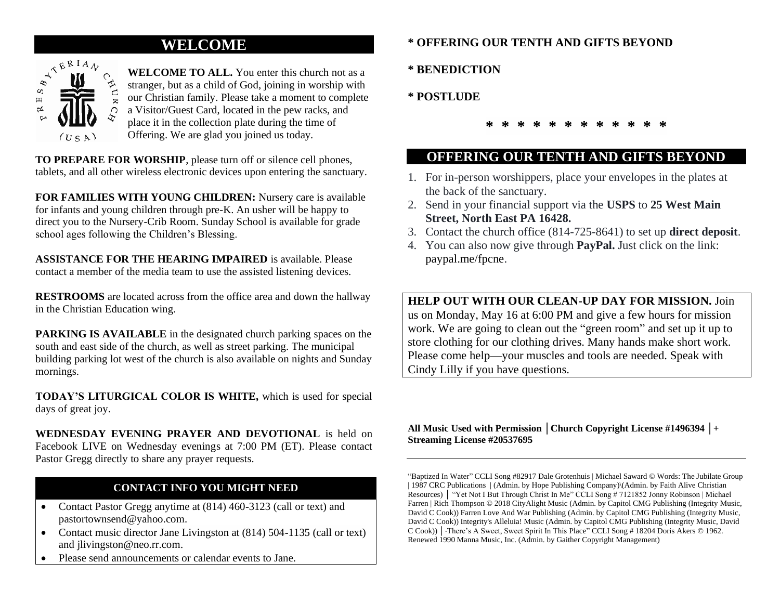## **WELCOME**



## **WELCOME TO ALL.** You enter this church not as a stranger, but as a child of God, joining in worship with

our Christian family. Please take a moment to complete

a Visitor/Guest Card, located in the pew racks, and

place it in the collection plate during the time of

Offering. We are glad you joined us today.

**TO PREPARE FOR WORSHIP**, please turn off or silence cell phones, tablets, and all other wireless electronic devices upon entering the sanctuary.

**FOR FAMILIES WITH YOUNG CHILDREN:** Nursery care is available for infants and young children through pre-K. An usher will be happy to direct you to the Nursery-Crib Room. Sunday School is available for grade school ages following the Children's Blessing.

**ASSISTANCE FOR THE HEARING IMPAIRED** is available. Please contact a member of the media team to use the assisted listening devices.

**RESTROOMS** are located across from the office area and down the hallway in the Christian Education wing.

**PARKING IS AVAILABLE** in the designated church parking spaces on the south and east side of the church, as well as street parking. The municipal building parking lot west of the church is also available on nights and Sunday mornings.

**TODAY'S LITURGICAL COLOR IS WHITE,** which is used for special days of great joy.

**WEDNESDAY EVENING PRAYER AND DEVOTIONAL** is held on Facebook LIVE on Wednesday evenings at 7:00 PM (ET). Please contact Pastor Gregg directly to share any prayer requests.

## **CONTACT INFO YOU MIGHT NEED**

- Contact Pastor Gregg anytime at (814) 460-3123 (call or text) and pastortownsend@yahoo.com.
- Contact music director Jane Livingston at (814) 504-1135 (call or text) and jlivingston@neo.rr.com.
- Please send announcements or calendar events to Jane.

#### **\* OFFERING OUR TENTH AND GIFTS BEYOND**

**\* BENEDICTION** 

#### **\* POSTLUDE**

**\* \* \* \* \* \* \* \* \* \* \* \***

## **OFFERING OUR TENTH AND GIFTS BEYOND**

- 1. For in-person worshippers, place your envelopes in the plates at the back of the sanctuary.
- 2. Send in your financial support via the **USPS** to **25 West Main Street, North East PA 16428.**
- 3. Contact the church office (814-725-8641) to set up **direct deposit**.
- 4. You can also now give through **PayPal.** Just click on the link: paypal.me/fpcne.

**HELP OUT WITH OUR CLEAN-UP DAY FOR MISSION.** Join us on Monday, May 16 at 6:00 PM and give a few hours for mission work. We are going to clean out the "green room" and set up it up to store clothing for our clothing drives. Many hands make short work. Please come help—your muscles and tools are needed. Speak with Cindy Lilly if you have questions.

#### **All Music Used with Permission │Church Copyright License #1496394 │+ Streaming License #20537695**

"Baptized In Water" CCLI Song #82917 Dale Grotenhuis | Michael Saward © Words: The Jubilate Group | 1987 CRC Publications | (Admin. by Hope Publishing Company)\(Admin. by Faith Alive Christian Resources) │ "Yet Not I But Through Christ In Me" CCLI Song # 7121852 Jonny Robinson | Michael Farren | Rich Thompson © 2018 CityAlight Music (Admin. by Capitol CMG Publishing (Integrity Music, David C Cook)) Farren Love And War Publishing (Admin. by Capitol CMG Publishing (Integrity Music, David C Cook)) Integrity's Alleluia! Music (Admin. by Capitol CMG Publishing (Integrity Music, David C Cook)) │"There's A Sweet, Sweet Spirit In This Place" CCLI Song # 18204 Doris Akers © 1962. Renewed 1990 Manna Music, Inc. (Admin. by Gaither Copyright Management)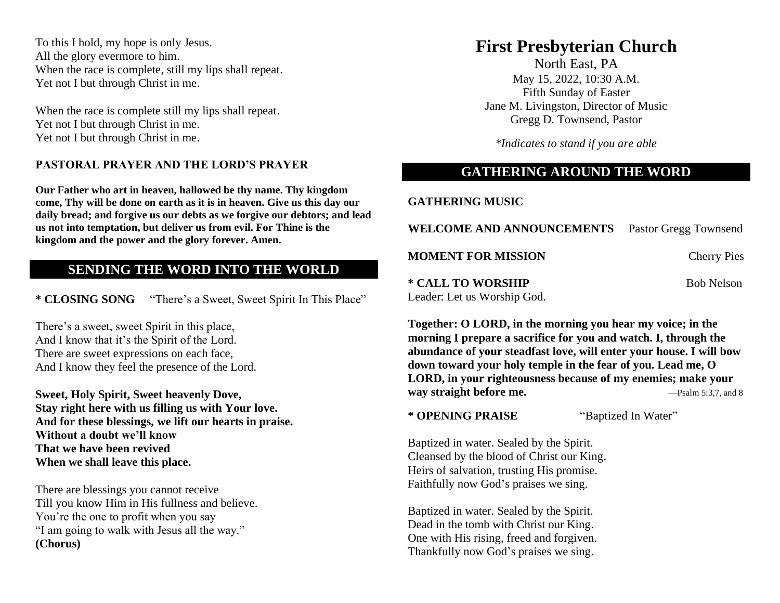To this I hold, my hope is only Jesus. All the glory evermore to him. When the race is complete, still my lips shall repeat. Yet not I but through Christ in me.

When the race is complete still my lips shall repeat. Yet not I but through Christ in me. Yet not I but through Christ in me.

#### **PASTORAL PRAYER AND THE LORD'S PRAYER**

**Our Father who art in heaven, hallowed be thy name. Thy kingdom come, Thy will be done on earth as it is in heaven. Give us this day our daily bread; and forgive us our debts as we forgive our debtors; and lead us not into temptation, but deliver us from evil. For Thine is the kingdom and the power and the glory forever. Amen.**

#### **SENDING THE WORD INTO THE WORLD**

**\* CLOSING SONG** "There's a Sweet, Sweet Spirit In This Place"

There's a sweet, sweet Spirit in this place, And I know that it's the Spirit of the Lord. There are sweet expressions on each face, And I know they feel the presence of the Lord.

**Sweet, Holy Spirit, Sweet heavenly Dove, Stay right here with us filling us with Your love. And for these blessings, we lift our hearts in praise. Without a doubt we'll know That we have been revived When we shall leave this place.**

There are blessings you cannot receive Till you know Him in His fullness and believe. You're the one to profit when you say "I am going to walk with Jesus all the way." **(Chorus)** 

## **First Presbyterian Church**

North East, PA May 15, 2022, 10:30 A.M. Fifth Sunday of Easter Jane M. Livingston, Director of Music Gregg D. Townsend, Pastor

*\*Indicates to stand if you are able* 

### **GATHERING AROUND THE WORD**

**GATHERING MUSIC**

WELCOME AND ANNOUNCEMENTS Pastor Gregg Townsend **MOMENT FOR MISSION** Cherry Pies

**\* CALL TO WORSHIP** Bob Nelson Leader: Let us Worship God.

**Together: O LORD, in the morning you hear my voice; in the morning I prepare a sacrifice for you and watch. I, through the abundance of your steadfast love, will enter your house. I will bow down toward your holy temple in the fear of you. Lead me, O LORD, in your righteousness because of my enemies; make your way straight before me.** —Psalm 5:3,7, and 8

**\* OPENING PRAISE** "Baptized In Water"

Baptized in water. Sealed by the Spirit. Cleansed by the blood of Christ our King. Heirs of salvation, trusting His promise. Faithfully now God's praises we sing.

Baptized in water. Sealed by the Spirit. Dead in the tomb with Christ our King. One with His rising, freed and forgiven. Thankfully now God's praises we sing.